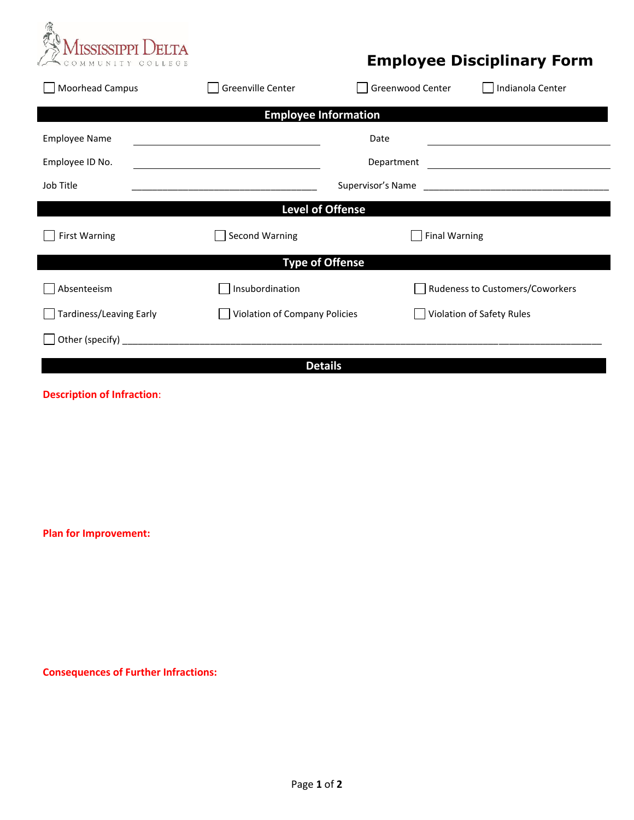

## **Employee Disciplinary Form**

| Moorhead Campus             | Greenville Center             | Greenwood Center                                                    | Indianola Center                |  |
|-----------------------------|-------------------------------|---------------------------------------------------------------------|---------------------------------|--|
| <b>Employee Information</b> |                               |                                                                     |                                 |  |
| <b>Employee Name</b>        | Date                          |                                                                     |                                 |  |
| Employee ID No.             |                               | Department<br><u> 1989 - Andrea State Barbara, poeta esperanto-</u> |                                 |  |
| Job Title                   |                               | Supervisor's Name                                                   |                                 |  |
| <b>Level of Offense</b>     |                               |                                                                     |                                 |  |
| <b>First Warning</b>        | Second Warning                |                                                                     | <b>Final Warning</b>            |  |
| <b>Type of Offense</b>      |                               |                                                                     |                                 |  |
| Absenteeism                 | Insubordination               |                                                                     | Rudeness to Customers/Coworkers |  |
| Tardiness/Leaving Early     | Violation of Company Policies |                                                                     | Violation of Safety Rules       |  |
|                             |                               |                                                                     |                                 |  |
| <b>Details</b>              |                               |                                                                     |                                 |  |

## **Description of Infraction**:

**Plan for Improvement:** 

**Consequences of Further Infractions:**